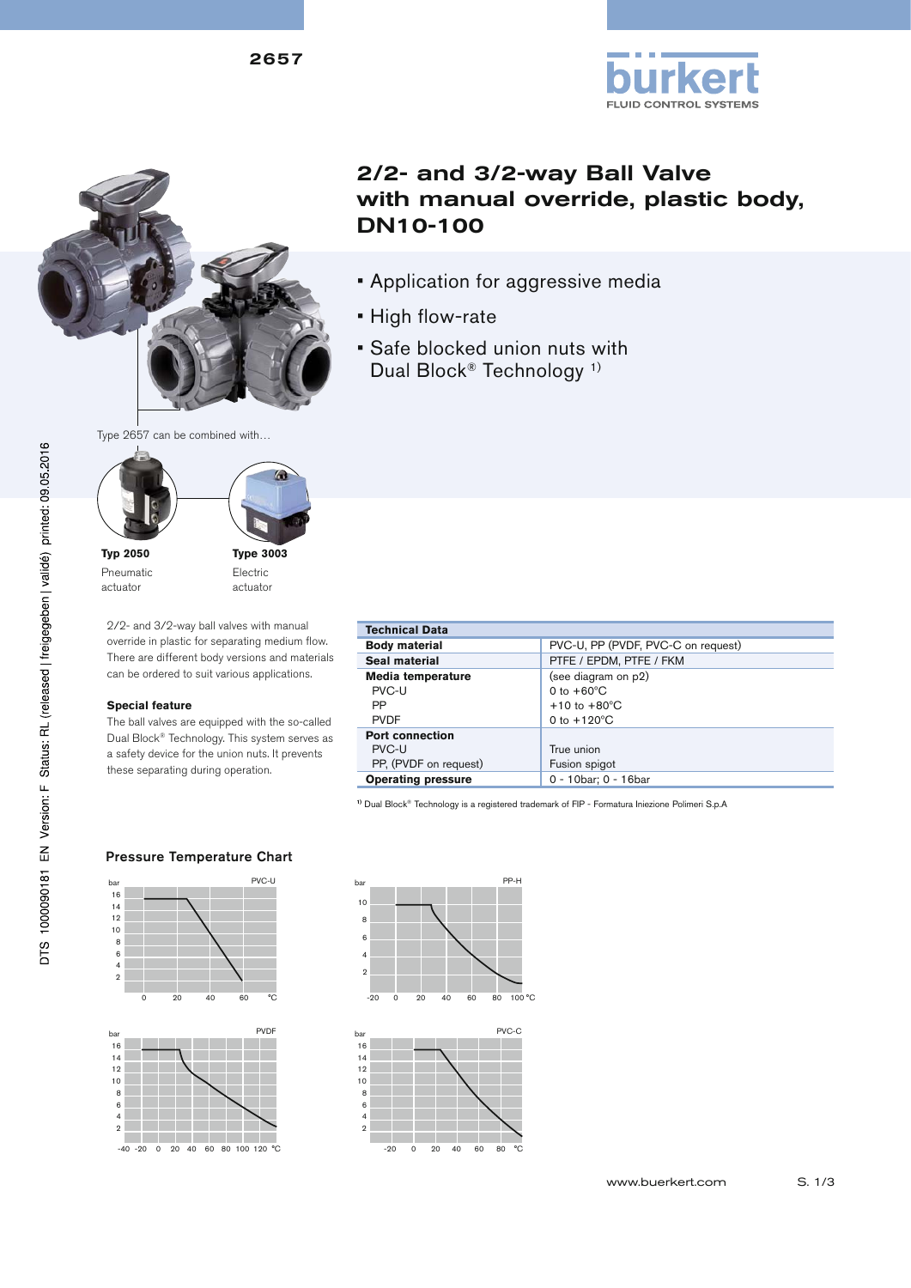2657







**Typ 2050** Pneumatic actuator

**Type 3003** Electric actuator

2/2- and 3/2-way ball valves with manual override in plastic for separating medium flow. There are different body versions and materials can be ordered to suit various applications.

### **Special feature**

The ball valves are equipped with the so-called Dual Block® Technology. This system serves as a safety device for the union nuts. It prevents these separating during operation.

# 2/2- and 3/2-way Ball Valve with manual override, plastic body, DN10-100

**FLUID CONTROL SYSTEMS** 

- Application for aggressive media
- High flow-rate
- Safe blocked union nuts with Dual Block® Technology 1)

| <b>Technical Data</b>     |                                    |  |  |  |  |  |
|---------------------------|------------------------------------|--|--|--|--|--|
| <b>Body material</b>      | PVC-U, PP (PVDF, PVC-C on request) |  |  |  |  |  |
| Seal material             | PTFE / EPDM, PTFE / FKM            |  |  |  |  |  |
| Media temperature         | (see diagram on p2)                |  |  |  |  |  |
| PVC-U                     | 0 to $+60^{\circ}$ C               |  |  |  |  |  |
| PP                        | $+10$ to $+80^{\circ}$ C           |  |  |  |  |  |
| <b>PVDF</b>               | 0 to $+120^{\circ}$ C              |  |  |  |  |  |
| <b>Port connection</b>    |                                    |  |  |  |  |  |
| PVC-U                     | True union                         |  |  |  |  |  |
| PP, (PVDF on request)     | Fusion spigot                      |  |  |  |  |  |
| <b>Operating pressure</b> | 0 - 10bar; 0 - 16bar               |  |  |  |  |  |

**1)** Dual Block® Technology is a registered trademark of FIP - Formatura Iniezione Polimeri S.p.A

#### bar PVC-U  $16$  $14$  $12$  $10$  $\overline{8}$  $6\phantom{a}$  $\overline{4}$  $\overline{2}$ 0 20 40 60 °C

Pressure Temperature Chart







DTS 1000090181 EN Version: F Status: RL (released | freigegeben | validé) printed: 09.05.2016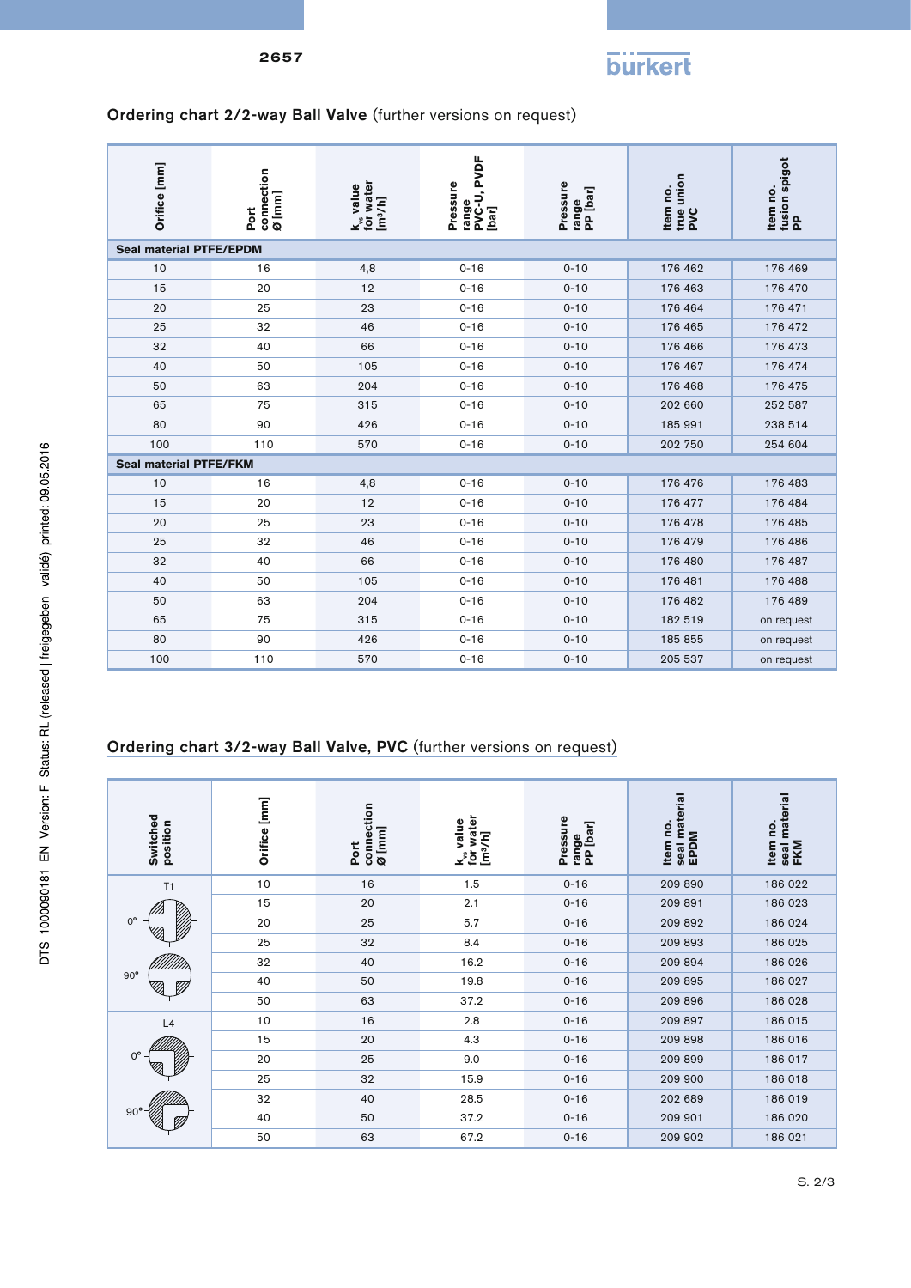

# Ordering chart 2/2-way Ball Valve (further versions on request)

| Orifice [mm]                   | Port<br>connection<br>Ø [mm]                                         | k <sub>vs</sub> value<br>for water<br>[m <sup>3</sup> /h] | range<br>PVC-U, PVDF<br>[bar]<br>Pressure | Pressure<br>range<br>PP [bar] | true union<br>PVC<br>Item no. | ltem no.<br>fusion spigot<br>PP |  |  |  |  |  |
|--------------------------------|----------------------------------------------------------------------|-----------------------------------------------------------|-------------------------------------------|-------------------------------|-------------------------------|---------------------------------|--|--|--|--|--|
| <b>Seal material PTFE/EPDM</b> |                                                                      |                                                           |                                           |                               |                               |                                 |  |  |  |  |  |
| 10                             | 16                                                                   | 4,8                                                       | $0 - 16$                                  | $0 - 10$                      | 176 462                       | 176 469                         |  |  |  |  |  |
| 15                             | 20                                                                   | 12                                                        | $0 - 16$                                  | $0 - 10$                      | 176 463                       | 176 470                         |  |  |  |  |  |
| 20                             | 25                                                                   | 23                                                        | $0 - 16$                                  | $0 - 10$                      | 176 464                       | 176 471                         |  |  |  |  |  |
| 25                             | 32                                                                   | 46                                                        | $0 - 16$                                  | $0 - 10$                      | 176 465                       | 176 472                         |  |  |  |  |  |
| 32                             | 40                                                                   | 66                                                        | $0 - 16$                                  | $0 - 10$                      | 176 466                       | 176 473                         |  |  |  |  |  |
| 40                             | 50                                                                   | 105                                                       | $0 - 16$                                  | $0 - 10$                      | 176 467                       | 176 474                         |  |  |  |  |  |
| 50                             | 63                                                                   | 204                                                       | $0 - 16$                                  | $0 - 10$                      | 176 468                       | 176 475                         |  |  |  |  |  |
| 65                             | 75                                                                   | 315                                                       | $0 - 16$                                  | $0 - 10$                      | 202 660                       | 252 587                         |  |  |  |  |  |
| 80                             | 90                                                                   | 426                                                       | $0 - 16$                                  | $0 - 10$                      | 185 991                       | 238 514                         |  |  |  |  |  |
| 100                            | 110                                                                  | 570                                                       | $0 - 16$                                  | $0 - 10$                      | 202 750                       | 254 604                         |  |  |  |  |  |
| <b>Seal material PTFE/FKM</b>  |                                                                      |                                                           |                                           |                               |                               |                                 |  |  |  |  |  |
| 10                             | 16                                                                   | 4,8                                                       | $0 - 16$                                  | $0 - 10$                      | 176 476                       | 176 483                         |  |  |  |  |  |
| 15                             | 20                                                                   | 12                                                        | $0 - 16$                                  | $0 - 10$                      | 176 477                       | 176 484                         |  |  |  |  |  |
| 20                             | 25                                                                   | 23                                                        | $0 - 16$                                  | $0 - 10$                      | 176 478                       | 176 485                         |  |  |  |  |  |
| 25                             | 32                                                                   | 46                                                        | $0 - 16$                                  | $0 - 10$                      | 176 479                       | 176 486                         |  |  |  |  |  |
| 32                             | 40                                                                   | 66                                                        | $0 - 16$                                  | $0 - 10$                      | 176 480                       | 176 487                         |  |  |  |  |  |
| 40                             | 50                                                                   | 105                                                       | $0 - 16$                                  | $0 - 10$                      | 176 481                       | 176 488                         |  |  |  |  |  |
| 50                             | 63                                                                   | 204                                                       | $0 - 16$                                  | $0 - 10$                      | 176 482                       | 176 489                         |  |  |  |  |  |
| 65                             | 75                                                                   | 315                                                       | $0 - 16$                                  | $0 - 10$                      | 182 519                       | on request                      |  |  |  |  |  |
| 80                             | 90                                                                   | 426                                                       | $0 - 16$                                  | $0 - 10$                      | 185 855                       | on request                      |  |  |  |  |  |
| 100                            | 110                                                                  | 570                                                       | $0 - 16$                                  | $0 - 10$                      | 205 537                       | on request                      |  |  |  |  |  |
|                                | Ordering chart 3/2-way Ball Valve, PVC (further versions on request) |                                                           |                                           |                               |                               |                                 |  |  |  |  |  |

| Switched<br>position | Orifice [mm] | connection<br>$\Omega$ [mm]<br>Port | k <sub>s</sub> value<br>for water<br>[m <sup>3</sup> /h]<br>value | Pressure<br>range<br>PP [bar] | seal material<br>Item no.<br>EPDM | seal material<br>Item no.<br><b>FKM</b> |
|----------------------|--------------|-------------------------------------|-------------------------------------------------------------------|-------------------------------|-----------------------------------|-----------------------------------------|
| T1                   | 10           | 16                                  | 1.5                                                               | $0 - 16$                      | 209 890                           | 186 022                                 |
|                      | 15           | 20                                  | 2.1                                                               | $0 - 16$                      | 209 891                           | 186 023                                 |
| $0^{\circ}$          | 20           | 25                                  | 5.7                                                               | $0 - 16$                      | 209 892                           | 186 024                                 |
|                      | 25           | 32                                  | 8.4                                                               | $0 - 16$                      | 209 893                           | 186 025                                 |
|                      | 32           | 40                                  | 16.2                                                              | $0 - 16$                      | 209 894                           | 186 026                                 |
| $90^{\circ}$         | 40           | 50                                  | 19.8                                                              | $0 - 16$                      | 209 895                           | 186 027                                 |
|                      | 50           | 63                                  | 37.2                                                              | $0 - 16$                      | 209 896                           | 186 028                                 |
| L4                   | 10           | 16                                  | 2.8                                                               | $0 - 16$                      | 209 897                           | 186 015                                 |
|                      | 15           | 20                                  | 4.3                                                               | $0 - 16$                      | 209 898                           | 186 016                                 |
| $0^{\circ}$          | 20           | 25                                  | 9.0                                                               | $0 - 16$                      | 209 899                           | 186 017                                 |
|                      | 25           | 32                                  | 15.9                                                              | $0 - 16$                      | 209 900                           | 186 018                                 |
|                      | 32           | 40                                  | 28.5                                                              | $0 - 16$                      | 202 689                           | 186 019                                 |
| $90^{\circ}$         | 40           | 50                                  | 37.2                                                              | $0 - 16$                      | 209 901                           | 186 020                                 |
|                      | 50           | 63                                  | 67.2                                                              | $0 - 16$                      | 209 902                           | 186 021                                 |